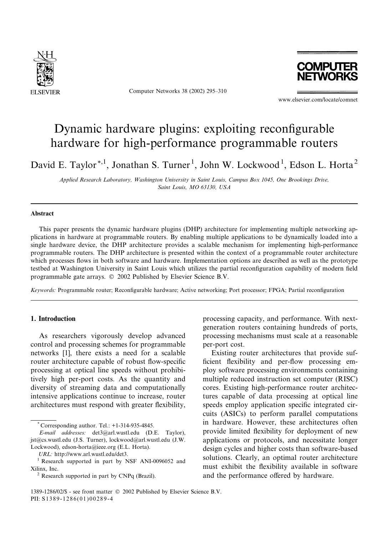

Computer Networks 38 (2002) 295–310



www.elsevier.com/locate/comnet

# Dynamic hardware plugins: exploiting reconfigurable hardware for high-performance programmable routers

David E. Taylor<sup>\*,1</sup>, Jonathan S. Turner<sup>1</sup>, John W. Lockwood<sup>1</sup>, Edson L. Horta<sup>2</sup>

Applied Research Laboratory, Washington University in Saint Louis, Campus Box 1045, One Brookings Drive, Saint Louis, MO 63130, USA

#### Abstract

This paper presents the dynamic hardware plugins (DHP) architecture for implementing multiple networking applications in hardware at programmable routers. By enabling multiple applications to be dynamically loaded into a single hardware device, the DHP architecture provides a scalable mechanism for implementing high-performance programmable routers. The DHP architecture is presented within the context of a programmable router architecture which processes flows in both software and hardware. Implementation options are described as well as the prototype testbed at Washington University in Saint Louis which utilizes the partial reconfiguration capability of modern field programmable gate arrays.  $\odot$  2002 Published by Elsevier Science B.V.

Keywords: Programmable router; Reconfigurable hardware; Active networking; Port processor; FPGA; Partial reconfiguration

## 1. Introduction

As researchers vigorously develop advanced control and processing schemes for programmable networks [1], there exists a need for a scalable router architecture capable of robust flow-specific processing at optical line speeds without prohibitively high per-port costs. As the quantity and diversity of streaming data and computationally intensive applications continue to increase, router architectures must respond with greater flexibility,

 $*$  Corresponding author. Tel.:  $+1-314-935-4845$ .

E-mail addresses: det3@arl.wustl.edu (D.E. Taylor), jst@cs.wustl.edu (J.S. Turner), lockwood@arl.wustl.edu (J.W. Lockwood), edson-horta@ieee.org (E.L. Horta).

URL: http://www.arl.wustl.edu/det3.<br><sup>1</sup> Research supported in part by NSF ANI-0096052 and Xilinx, Inc. <sup>2</sup> Research supported in part by CNPq (Brazil).

processing capacity, and performance. With nextgeneration routers containing hundreds of ports, processing mechanisms must scale at a reasonable per-port cost.

Existing router architectures that provide sufficient flexibility and per-flow processing employ software processing environments containing multiple reduced instruction set computer (RISC) cores. Existing high-performance router architectures capable of data processing at optical line speeds employ application specific integrated circuits (ASICs) to perform parallel computations in hardware. However, these architectures often provide limited flexibility for deployment of new applications or protocols, and necessitate longer design cycles and higher costs than software-based solutions. Clearly, an optimal router architecture must exhibit the flexibility available in software and the performance offered by hardware.

1389-1286/02/\$ - see front matter 2002 Published by Elsevier Science B.V. PII: S1389-1286(01)00289-4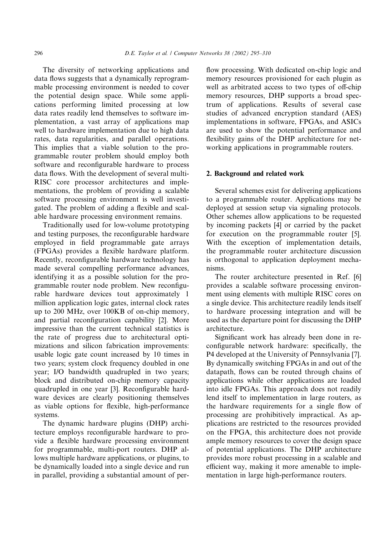The diversity of networking applications and data flows suggests that a dynamically reprogrammable processing environment is needed to cover the potential design space. While some applications performing limited processing at low data rates readily lend themselves to software implementation, a vast array of applications map well to hardware implementation due to high data rates, data regularities, and parallel operations. This implies that a viable solution to the programmable router problem should employ both software and reconfigurable hardware to process data flows. With the development of several multi-RISC core processor architectures and implementations, the problem of providing a scalable software processing environment is well investigated. The problem of adding a flexible and scalable hardware processing environment remains.

Traditionally used for low-volume prototyping and testing purposes, the reconfigurable hardware employed in field programmable gate arrays (FPGAs) provides a flexible hardware platform. Recently, reconfigurable hardware technology has made several compelling performance advances, identifying it as a possible solution for the programmable router node problem. New reconfigurable hardware devices tout approximately 1 million application logic gates, internal clock rates up to 200 MHz, over 100KB of on-chip memory, and partial reconfiguration capability [2]. More impressive than the current technical statistics is the rate of progress due to architectural optimizations and silicon fabrication improvements: usable logic gate count increased by 10 times in two years; system clock frequency doubled in one year; I/O bandwidth quadrupled in two years; block and distributed on-chip memory capacity quadrupled in one year [3]. Reconfigurable hardware devices are clearly positioning themselves as viable options for flexible, high-performance systems.

The dynamic hardware plugins (DHP) architecture employs reconfigurable hardware to provide a flexible hardware processing environment for programmable, multi-port routers. DHP allows multiple hardware applications, or plugins, to be dynamically loaded into a single device and run in parallel, providing a substantial amount of perflow processing. With dedicated on-chip logic and memory resources provisioned for each plugin as well as arbitrated access to two types of off-chip memory resources, DHP supports a broad spectrum of applications. Results of several case studies of advanced encryption standard (AES) implementations in software, FPGAs, and ASICs are used to show the potential performance and flexibility gains of the DHP architecture for networking applications in programmable routers.

#### 2. Background and related work

Several schemes exist for delivering applications to a programmable router. Applications may be deployed at session setup via signaling protocols. Other schemes allow applications to be requested by incoming packets [4] or carried by the packet for execution on the programmable router [5]. With the exception of implementation details, the programmable router architecture discussion is orthogonal to application deployment mechanisms.

The router architecture presented in Ref. [6] provides a scalable software processing environment using elements with multiple RISC cores on a single device. This architecture readily lends itself to hardware processing integration and will be used as the departure point for discussing the DHP architecture.

Significant work has already been done in reconfigurable network hardware: specifically, the P4 developed at the University of Pennsylvania [7]. By dynamically switching FPGAs in and out of the datapath, flows can be routed through chains of applications while other applications are loaded into idle FPGAs. This approach does not readily lend itself to implementation in large routers, as the hardware requirements for a single flow of processing are prohibitively impractical. As applications are restricted to the resources provided on the FPGA, this architecture does not provide ample memory resources to cover the design space of potential applications. The DHP architecture provides more robust processing in a scalable and efficient way, making it more amenable to implementation in large high-performance routers.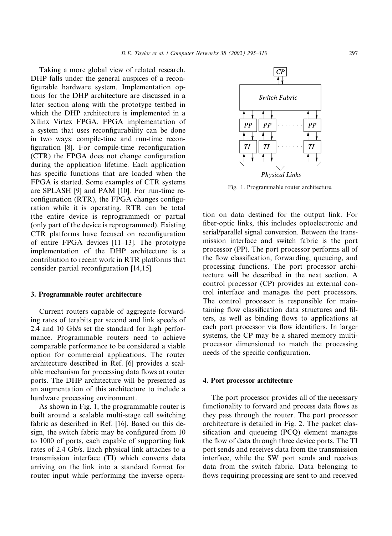Taking a more global view of related research, DHP falls under the general auspices of a reconfigurable hardware system. Implementation options for the DHP architecture are discussed in a later section along with the prototype testbed in which the DHP architecture is implemented in a Xilinx Virtex FPGA. FPGA implementation of a system that uses reconfigurability can be done in two ways: compile-time and run-time reconfiguration [8]. For compile-time reconfiguration (CTR) the FPGA does not change configuration during the application lifetime. Each application has specific functions that are loaded when the FPGA is started. Some examples of CTR systems are SPLASH [9] and PAM [10]. For run-time reconfiguration (RTR), the FPGA changes configuration while it is operating. RTR can be total (the entire device is reprogrammed) or partial (only part of the device is reprogrammed). Existing CTR platforms have focused on reconfiguration of entire FPGA devices [11–13]. The prototype implementation of the DHP architecture is a contribution to recent work in RTR platforms that consider partial reconfiguration [14,15].

#### 3. Programmable router architecture

Current routers capable of aggregate forwarding rates of terabits per second and link speeds of 2.4 and 10 Gb/s set the standard for high performance. Programmable routers need to achieve comparable performance to be considered a viable option for commercial applications. The router architecture described in Ref. [6] provides a scalable mechanism for processing data flows at router ports. The DHP architecture will be presented as an augmentation of this architecture to include a hardware processing environment.

As shown in Fig. 1, the programmable router is built around a scalable multi-stage cell switching fabric as described in Ref. [16]. Based on this design, the switch fabric may be configured from 10 to 1000 of ports, each capable of supporting link rates of 2.4 Gb/s. Each physical link attaches to a transmission interface (TI) which converts data arriving on the link into a standard format for router input while performing the inverse opera-



Fig. 1. Programmable router architecture.

tion on data destined for the output link. For fiber-optic links, this includes optoelectronic and serial/parallel signal conversion. Between the transmission interface and switch fabric is the port processor (PP). The port processor performs all of the flow classification, forwarding, queueing, and processing functions. The port processor architecture will be described in the next section. A control processor (CP) provides an external control interface and manages the port processors. The control processor is responsible for maintaining flow classification data structures and filters, as well as binding flows to applications at each port processor via flow identifiers. In larger systems, the CP may be a shared memory multiprocessor dimensioned to match the processing needs of the specific configuration.

#### 4. Port processor architecture

The port processor provides all of the necessary functionality to forward and process data flows as they pass through the router. The port processor architecture is detailed in Fig. 2. The packet classification and queueing (PCQ) element manages the flow of data through three device ports. The TI port sends and receives data from the transmission interface, while the SW port sends and receives data from the switch fabric. Data belonging to flows requiring processing are sent to and received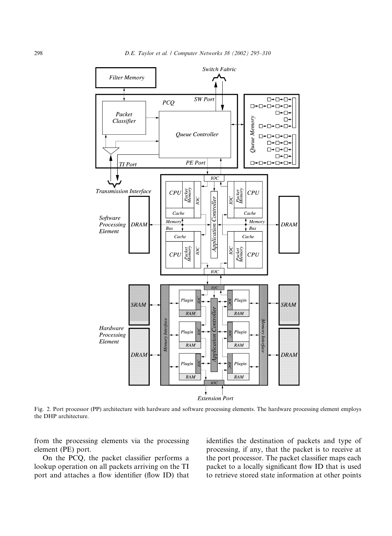

Fig. 2. Port processor (PP) architecture with hardware and software processing elements. The hardware processing element employs the DHP architecture.

from the processing elements via the processing element (PE) port.

On the PCQ, the packet classifier performs a lookup operation on all packets arriving on the TI port and attaches a flow identifier (flow ID) that identifies the destination of packets and type of processing, if any, that the packet is to receive at the port processor. The packet classifier maps each packet to a locally significant flow ID that is used to retrieve stored state information at other points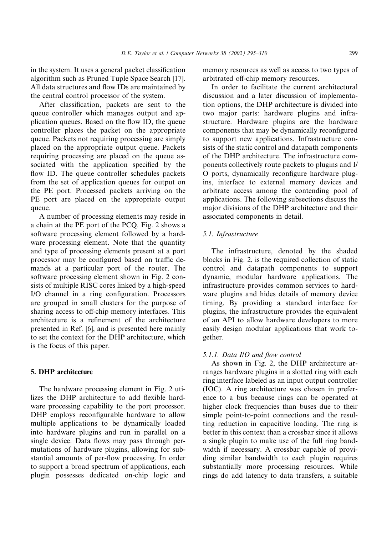in the system. It uses a general packet classification algorithm such as Pruned Tuple Space Search [17]. All data structures and flow IDs are maintained by the central control processor of the system.

After classification, packets are sent to the queue controller which manages output and application queues. Based on the flow ID, the queue controller places the packet on the appropriate queue. Packets not requiring processing are simply placed on the appropriate output queue. Packets requiring processing are placed on the queue associated with the application specified by the flow ID. The queue controller schedules packets from the set of application queues for output on the PE port. Processed packets arriving on the PE port are placed on the appropriate output queue.

A number of processing elements may reside in a chain at the PE port of the PCQ. Fig. 2 shows a software processing element followed by a hardware processing element. Note that the quantity and type of processing elements present at a port processor may be configured based on traffic demands at a particular port of the router. The software processing element shown in Fig. 2 consists of multiple RISC cores linked by a high-speed I/O channel in a ring configuration. Processors are grouped in small clusters for the purpose of sharing access to off-chip memory interfaces. This architecture is a refinement of the architecture presented in Ref. [6], and is presented here mainly to set the context for the DHP architecture, which is the focus of this paper.

## 5. DHP architecture

The hardware processing element in Fig. 2 utilizes the DHP architecture to add flexible hardware processing capability to the port processor. DHP employs reconfigurable hardware to allow multiple applications to be dynamically loaded into hardware plugins and run in parallel on a single device. Data flows may pass through permutations of hardware plugins, allowing for substantial amounts of per-flow processing. In order to support a broad spectrum of applications, each plugin possesses dedicated on-chip logic and

memory resources as well as access to two types of arbitrated off-chip memory resources.

In order to facilitate the current architectural discussion and a later discussion of implementation options, the DHP architecture is divided into two major parts: hardware plugins and infrastructure. Hardware plugins are the hardware components that may be dynamically reconfigured to support new applications. Infrastructure consists of the static control and datapath components of the DHP architecture. The infrastructure components collectively route packets to plugins and I/ O ports, dynamically reconfigure hardware plugins, interface to external memory devices and arbitrate access among the contending pool of applications. The following subsections discuss the major divisions of the DHP architecture and their associated components in detail.

## 5.1. Infrastructure

The infrastructure, denoted by the shaded blocks in Fig. 2, is the required collection of static control and datapath components to support dynamic, modular hardware applications. The infrastructure provides common services to hardware plugins and hides details of memory device timing. By providing a standard interface for plugins, the infrastructure provides the equivalent of an API to allow hardware developers to more easily design modular applications that work together.

## 5.1.1. Data I/O and flow control

As shown in Fig. 2, the DHP architecture arranges hardware plugins in a slotted ring with each ring interface labeled as an input output controller (IOC). A ring architecture was chosen in preference to a bus because rings can be operated at higher clock frequencies than buses due to their simple point-to-point connections and the resulting reduction in capacitive loading. The ring is better in this context than a crossbar since it allows a single plugin to make use of the full ring bandwidth if necessary. A crossbar capable of providing similar bandwidth to each plugin requires substantially more processing resources. While rings do add latency to data transfers, a suitable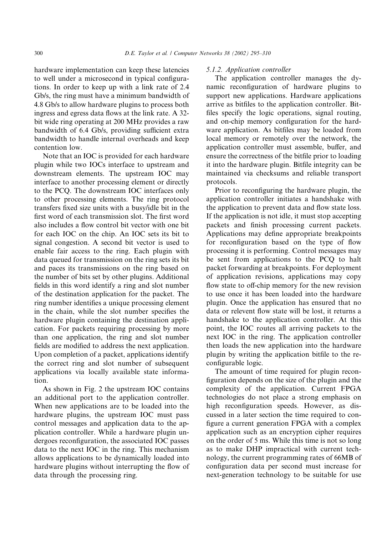hardware implementation can keep these latencies to well under a microsecond in typical configurations. In order to keep up with a link rate of 2.4 Gb/s, the ring must have a minimum bandwidth of 4.8 Gb/s to allow hardware plugins to process both ingress and egress data flows at the link rate. A 32 bit wide ring operating at 200 MHz provides a raw bandwidth of 6.4 Gb/s, providing sufficient extra bandwidth to handle internal overheads and keep contention low.

Note that an IOC is provided for each hardware plugin while two IOCs interface to upstream and downstream elements. The upstream IOC may interface to another processing element or directly to the PCQ. The downstream IOC interfaces only to other processing elements. The ring protocol transfers fixed size units with a busy/idle bit in the first word of each transmission slot. The first word also includes a flow control bit vector with one bit for each IOC on the chip. An IOC sets its bit to signal congestion. A second bit vector is used to enable fair access to the ring. Each plugin with data queued for transmission on the ring sets its bit and paces its transmissions on the ring based on the number of bits set by other plugins. Additional fields in this word identify a ring and slot number of the destination application for the packet. The ring number identifies a unique processing element in the chain, while the slot number specifies the hardware plugin containing the destination application. For packets requiring processing by more than one application, the ring and slot number fields are modified to address the next application. Upon completion of a packet, applications identify the correct ring and slot number of subsequent applications via locally available state information.

As shown in Fig. 2 the upstream IOC contains an additional port to the application controller. When new applications are to be loaded into the hardware plugins, the upstream IOC must pass control messages and application data to the application controller. While a hardware plugin undergoes reconfiguration, the associated IOC passes data to the next IOC in the ring. This mechanism allows applications to be dynamically loaded into hardware plugins without interrupting the flow of data through the processing ring.

#### 5.1.2. Application controller

The application controller manages the dynamic reconfiguration of hardware plugins to support new applications. Hardware applications arrive as bitfiles to the application controller. Bitfiles specify the logic operations, signal routing, and on-chip memory configuration for the hardware application. As bitfiles may be loaded from local memory or remotely over the network, the application controller must assemble, buffer, and ensure the correctness of the bitfile prior to loading it into the hardware plugin. Bitfile integrity can be maintained via checksums and reliable transport protocols.

Prior to reconfiguring the hardware plugin, the application controller initiates a handshake with the application to prevent data and flow state loss. If the application is not idle, it must stop accepting packets and finish processing current packets. Applications may define appropriate breakpoints for reconfiguration based on the type of flow processing it is performing. Control messages may be sent from applications to the PCQ to halt packet forwarding at breakpoints. For deployment of application revisions, applications may copy flow state to off-chip memory for the new revision to use once it has been loaded into the hardware plugin. Once the application has ensured that no data or relevent flow state will be lost, it returns a handshake to the application controller. At this point, the IOC routes all arriving packets to the next IOC in the ring. The application controller then loads the new application into the hardware plugin by writing the application bitfile to the reconfigurable logic.

The amount of time required for plugin reconfiguration depends on the size of the plugin and the complexity of the application. Current FPGA technologies do not place a strong emphasis on high reconfiguration speeds. However, as discussed in a later section the time required to configure a current generation FPGA with a complex application such as an encryption cipher requires on the order of 5 ms. While this time is not so long as to make DHP impractical with current technology, the current programming rates of 66MB of configuration data per second must increase for next-generation technology to be suitable for use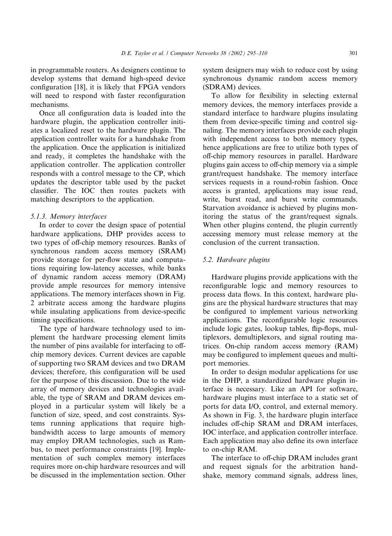in programmable routers. As designers continue to develop systems that demand high-speed device configuration [18], it is likely that FPGA vendors will need to respond with faster reconfiguration mechanisms.

Once all configuration data is loaded into the hardware plugin, the application controller initiates a localized reset to the hardware plugin. The application controller waits for a handshake from the application. Once the application is initialized and ready, it completes the handshake with the application controller. The application controller responds with a control message to the CP, which updates the descriptor table used by the packet classifier. The IOC then routes packets with matching descriptors to the application.

#### 5.1.3. Memory interfaces

In order to cover the design space of potential hardware applications, DHP provides access to two types of off-chip memory resources. Banks of synchronous random access memory (SRAM) provide storage for per-flow state and computations requiring low-latency accesses, while banks of dynamic random access memory (DRAM) provide ample resources for memory intensive applications. The memory interfaces shown in Fig. 2 arbitrate access among the hardware plugins while insulating applications from device-specific timing specifications.

The type of hardware technology used to implement the hardware processing element limits the number of pins available for interfacing to offchip memory devices. Current devices are capable of supporting two SRAM devices and two DRAM devices; therefore, this configuration will be used for the purpose of this discussion. Due to the wide array of memory devices and technologies available, the type of SRAM and DRAM devices employed in a particular system will likely be a function of size, speed, and cost constraints. Systems running applications that require highbandwidth access to large amounts of memory may employ DRAM technologies, such as Rambus, to meet performance constraints [19]. Implementation of such complex memory interfaces requires more on-chip hardware resources and will be discussed in the implementation section. Other system designers may wish to reduce cost by using synchronous dynamic random access memory (SDRAM) devices.

To allow for flexibility in selecting external memory devices, the memory interfaces provide a standard interface to hardware plugins insulating them from device-specific timing and control signaling. The memory interfaces provide each plugin with independent access to both memory types, hence applications are free to utilize both types of off-chip memory resources in parallel. Hardware plugins gain access to off-chip memory via a simple grant/request handshake. The memory interface services requests in a round-robin fashion. Once access is granted, applications may issue read, write, burst read, and burst write commands. Starvation avoidance is achieved by plugins monitoring the status of the grant/request signals. When other plugins contend, the plugin currently accessing memory must release memory at the conclusion of the current transaction.

## 5.2. Hardware plugins

Hardware plugins provide applications with the reconfigurable logic and memory resources to process data flows. In this context, hardware plugins are the physical hardware structures that may be configured to implement various networking applications. The reconfigurable logic resources include logic gates, lookup tables, flip-flops, multiplexors, demultiplexors, and signal routing matrices. On-chip random access memory (RAM) may be configured to implement queues and multiport memories.

In order to design modular applications for use in the DHP, a standardized hardware plugin interface is necessary. Like an API for software, hardware plugins must interface to a static set of ports for data I/O, control, and external memory. As shown in Fig. 3, the hardware plugin interface includes off-chip SRAM and DRAM interfaces, IOC interface, and application controller interface. Each application may also define its own interface to on-chip RAM.

The interface to off-chip DRAM includes grant and request signals for the arbitration handshake, memory command signals, address lines,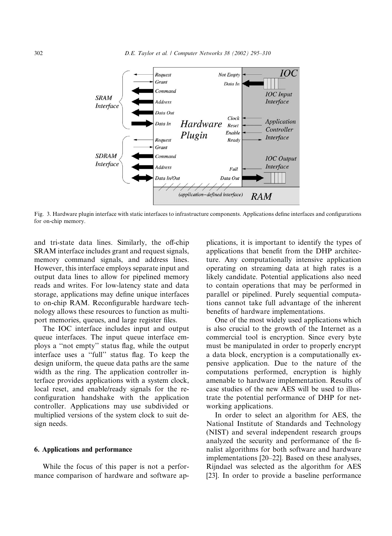

Fig. 3. Hardware plugin interface with static interfaces to infrastructure components. Applications define interfaces and configurations for on-chip memory.

and tri-state data lines. Similarly, the off-chip SRAM interface includes grant and request signals, memory command signals, and address lines. However, this interface employs separate input and output data lines to allow for pipelined memory reads and writes. For low-latency state and data storage, applications may define unique interfaces to on-chip RAM. Reconfigurable hardware technology allows these resources to function as multiport memories, queues, and large register files.

The IOC interface includes input and output queue interfaces. The input queue interface employs a ''not empty'' status flag, while the output interface uses a ''full'' status flag. To keep the design uniform, the queue data paths are the same width as the ring. The application controller interface provides applications with a system clock, local reset, and enable/ready signals for the reconfiguration handshake with the application controller. Applications may use subdivided or multiplied versions of the system clock to suit design needs.

#### 6. Applications and performance

While the focus of this paper is not a performance comparison of hardware and software applications, it is important to identify the types of applications that benefit from the DHP architecture. Any computationally intensive application operating on streaming data at high rates is a likely candidate. Potential applications also need to contain operations that may be performed in parallel or pipelined. Purely sequential computations cannot take full advantage of the inherent benefits of hardware implementations.

One of the most widely used applications which is also crucial to the growth of the Internet as a commercial tool is encryption. Since every byte must be manipulated in order to properly encrypt a data block, encryption is a computationally expensive application. Due to the nature of the computations performed, encryption is highly amenable to hardware implementation. Results of case studies of the new AES will be used to illustrate the potential performance of DHP for networking applications.

In order to select an algorithm for AES, the National Institute of Standards and Technology (NIST) and several independent research groups analyzed the security and performance of the finalist algorithms for both software and hardware implementations [20–22]. Based on these analyses, Rijndael was selected as the algorithm for AES [23]. In order to provide a baseline performance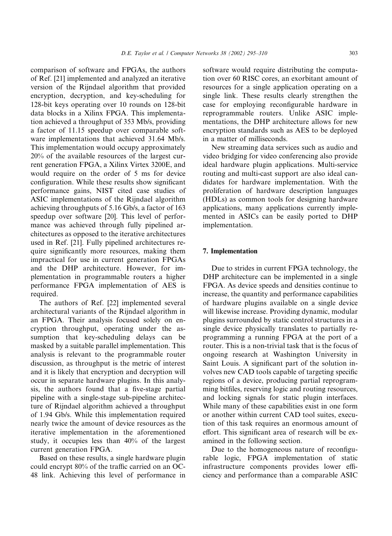comparison of software and FPGAs, the authors of Ref. [21] implemented and analyzed an iterative version of the Rijndael algorithm that provided encryption, decryption, and key-scheduling for 128-bit keys operating over 10 rounds on 128-bit data blocks in a Xilinx FPGA. This implementation achieved a throughput of 353 Mb/s, providing a factor of 11.15 speedup over comparable software implementations that achieved 31.64 Mb/s. This implementation would occupy approximately 20% of the available resources of the largest current generation FPGA, a Xilinx Virtex 3200E, and would require on the order of 5 ms for device configuration. While these results show significant performance gains, NIST cited case studies of ASIC implementations of the Rijndael algorithm achieving throughputs of 5.16 Gb/s, a factor of 163 speedup over software [20]. This level of performance was achieved through fully pipelined architectures as opposed to the iterative architectures used in Ref. [21]. Fully pipelined architectures require significantly more resources, making them impractical for use in current generation FPGAs and the DHP architecture. However, for implementation in programmable routers a higher performance FPGA implementation of AES is required.

The authors of Ref. [22] implemented several architectural variants of the Rijndael algorithm in an FPGA. Their analysis focused solely on encryption throughput, operating under the assumption that key-scheduling delays can be masked by a suitable parallel implementation. This analysis is relevant to the programmable router discussion, as throughput is the metric of interest and it is likely that encryption and decryption will occur in separate hardware plugins. In this analysis, the authors found that a five-stage partial pipeline with a single-stage sub-pipeline architecture of Rijndael algorithm achieved a throughput of 1.94 Gb/s. While this implementation required nearly twice the amount of device resources as the iterative implementation in the aforementioned study, it occupies less than 40% of the largest current generation FPGA.

Based on these results, a single hardware plugin could encrypt 80% of the traffic carried on an OC-48 link. Achieving this level of performance in

software would require distributing the computation over 60 RISC cores, an exorbitant amount of resources for a single application operating on a single link. These results clearly strengthen the case for employing reconfigurable hardware in reprogrammable routers. Unlike ASIC implementations, the DHP architecture allows for new encryption standards such as AES to be deployed in a matter of milliseconds.

New streaming data services such as audio and video bridging for video conferencing also provide ideal hardware plugin applications. Multi-service routing and multi-cast support are also ideal candidates for hardware implementation. With the proliferation of hardware description languages (HDLs) as common tools for designing hardware applications, many applications currently implemented in ASICs can be easily ported to DHP implementation.

## 7. Implementation

Due to strides in current FPGA technology, the DHP architecture can be implemented in a single FPGA. As device speeds and densities continue to increase, the quantity and performance capabilities of hardware plugins available on a single device will likewise increase. Providing dynamic, modular plugins surrounded by static control structures in a single device physically translates to partially reprogramming a running FPGA at the port of a router. This is a non-trivial task that is the focus of ongoing research at Washington University in Saint Louis. A significant part of the solution involves new CAD tools capable of targeting specific regions of a device, producing partial reprogramming bitfiles, reserving logic and routing resources, and locking signals for static plugin interfaces. While many of these capabilities exist in one form or another within current CAD tool suites, execution of this task requires an enormous amount of effort. This significant area of research will be examined in the following section.

Due to the homogeneous nature of reconfigurable logic, FPGA implementation of static infrastructure components provides lower efficiency and performance than a comparable ASIC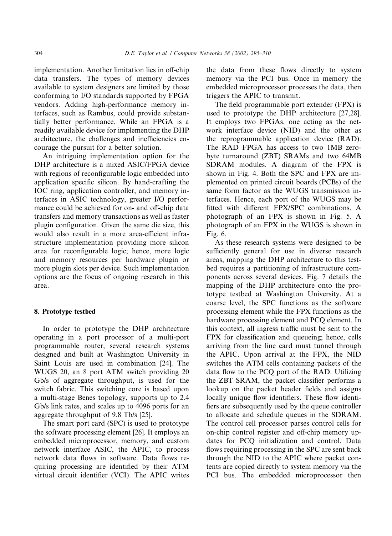implementation. Another limitation lies in off-chip data transfers. The types of memory devices available to system designers are limited by those conforming to I/O standards supported by FPGA vendors. Adding high-performance memory interfaces, such as Rambus, could provide substantially better performance. While an FPGA is a readily available device for implementing the DHP architecture, the challenges and inefficiencies encourage the pursuit for a better solution.

An intriguing implementation option for the DHP architecture is a mixed ASIC/FPGA device with regions of reconfigurable logic embedded into application specific silicon. By hand-crafting the IOC ring, application controller, and memory interfaces in ASIC technology, greater I/O performance could be achieved for on- and off-chip data transfers and memory transactions as well as faster plugin configuration. Given the same die size, this would also result in a more area-efficient infrastructure implementation providing more silicon area for reconfigurable logic; hence, more logic and memory resources per hardware plugin or more plugin slots per device. Such implementation options are the focus of ongoing research in this area.

## 8. Prototype testbed

In order to prototype the DHP architecture operating in a port processor of a multi-port programmable router, several research systems designed and built at Washington University in Saint Louis are used in combination [24]. The WUGS 20, an 8 port ATM switch providing 20 Gb/s of aggregate throughput, is used for the switch fabric. This switching core is based upon a multi-stage Benes topology, supports up to 2.4 Gb/s link rates, and scales up to 4096 ports for an aggregate throughput of 9.8 Tb/s [25].

The smart port card (SPC) is used to prototype the software processing element [26]. It employs an embedded microprocessor, memory, and custom network interface ASIC, the APIC, to process network data flows in software. Data flows requiring processing are identified by their ATM virtual circuit identifier (VCI). The APIC writes the data from these flows directly to system memory via the PCI bus. Once in memory the embedded microprocessor processes the data, then triggers the APIC to transmit.

The field programmable port extender (FPX) is used to prototype the DHP architecture [27,28]. It employs two FPGAs, one acting as the network interface device (NID) and the other as the reprogrammable application device (RAD). The RAD FPGA has access to two 1MB zerobyte turnaround (ZBT) SRAMs and two 64MB SDRAM modules. A diagram of the FPX is shown in Fig. 4. Both the SPC and FPX are implemented on printed circuit boards (PCBs) of the same form factor as the WUGS transmission interfaces. Hence, each port of the WUGS may be fitted with different FPX/SPC combinations. A photograph of an FPX is shown in Fig. 5. A photograph of an FPX in the WUGS is shown in Fig. 6.

As these research systems were designed to be sufficiently general for use in diverse research areas, mapping the DHP architecture to this testbed requires a partitioning of infrastructure components across several devices. Fig. 7 details the mapping of the DHP architecture onto the prototype testbed at Washington University. At a coarse level, the SPC functions as the software processing element while the FPX functions as the hardware processing element and PCQ element. In this context, all ingress traffic must be sent to the FPX for classification and queueing; hence, cells arriving from the line card must tunnel through the APIC. Upon arrival at the FPX, the NID switches the ATM cells containing packets of the data flow to the PCQ port of the RAD. Utilizing the ZBT SRAM, the packet classifier performs a lookup on the packet header fields and assigns locally unique flow identifiers. These flow identifiers are subsequently used by the queue controller to allocate and schedule queues in the SDRAM. The control cell processor parses control cells for on-chip control register and off-chip memory updates for PCQ initialization and control. Data flows requiring processing in the SPC are sent back through the NID to the APIC where packet contents are copied directly to system memory via the PCI bus. The embedded microprocessor then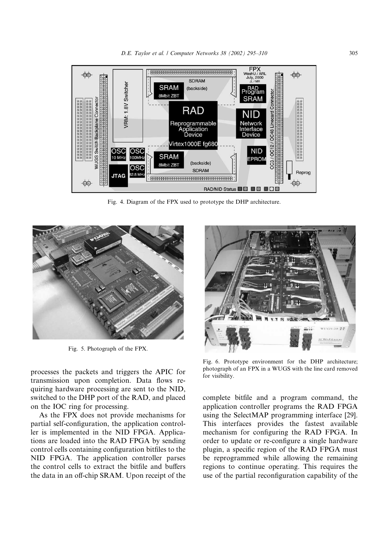

Fig. 4. Diagram of the FPX used to prototype the DHP architecture.



Fig. 5. Photograph of the FPX.

processes the packets and triggers the APIC for transmission upon completion. Data flows requiring hardware processing are sent to the NID, switched to the DHP port of the RAD, and placed on the IOC ring for processing.

As the FPX does not provide mechanisms for partial self-configuration, the application controller is implemented in the NID FPGA. Applications are loaded into the RAD FPGA by sending control cells containing configuration bitfiles to the NID FPGA. The application controller parses the control cells to extract the bitfile and buffers the data in an off-chip SRAM. Upon receipt of the



Fig. 6. Prototype environment for the DHP architecture; photograph of an FPX in a WUGS with the line card removed for visibility.

complete bitfile and a program command, the application controller programs the RAD FPGA using the SelectMAP programming interface [29]. This interfaces provides the fastest available mechanism for configuring the RAD FPGA. In order to update or re-configure a single hardware plugin, a specific region of the RAD FPGA must be reprogrammed while allowing the remaining regions to continue operating. This requires the use of the partial reconfiguration capability of the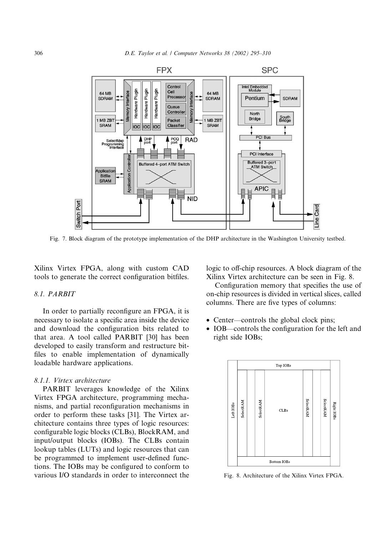

Fig. 7. Block diagram of the prototype implementation of the DHP architecture in the Washington University testbed.

Xilinx Virtex FPGA, along with custom CAD tools to generate the correct configuration bitfiles.

# 8.1. PARBIT

In order to partially reconfigure an FPGA, it is necessary to isolate a specific area inside the device and download the configuration bits related to that area. A tool called PARBIT [30] has been developed to easily transform and restructure bitfiles to enable implementation of dynamically loadable hardware applications.

## 8.1.1. Virtex architecture

PARBIT leverages knowledge of the Xilinx Virtex FPGA architecture, programming mechanisms, and partial reconfiguration mechanisms in order to perform these tasks [31]. The Virtex architecture contains three types of logic resources: configurable logic blocks (CLBs), BlockRAM, and input/output blocks (IOBs). The CLBs contain lookup tables (LUTs) and logic resources that can be programmed to implement user-defined functions. The IOBs may be configured to conform to various I/O standards in order to interconnect the logic to off-chip resources. A block diagram of the Xilinx Virtex architecture can be seen in Fig. 8.

Configuration memory that specifies the use of on-chip resources is divided in vertical slices, called columns. There are five types of columns:

- Center—controls the global clock pins;
- IOB—controls the configuration for the left and right side IOBs;



Fig. 8. Architecture of the Xilinx Virtex FPGA.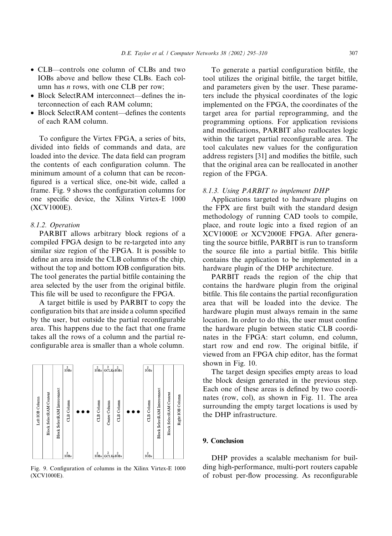- CLB––controls one column of CLBs and two IOBs above and bellow these CLBs. Each column has  $n$  rows, with one CLB per row;
- Block SelectRAM interconnect—defines the interconnection of each RAM column;
- Block SelectRAM content—defines the contents of each RAM column.

To configure the Virtex FPGA, a series of bits, divided into fields of commands and data, are loaded into the device. The data field can program the contents of each configuration column. The minimum amount of a column that can be reconfigured is a vertical slice, one-bit wide, called a frame. Fig. 9 shows the configuration columns for one specific device, the Xilinx Virtex-E 1000 (XCV1000E).

## 8.1.2. Operation

PARBIT allows arbitrary block regions of a compiled FPGA design to be re-targeted into any similar size region of the FPGA. It is possible to define an area inside the CLB columns of the chip, without the top and bottom IOB configuration bits. The tool generates the partial bitfile containing the area selected by the user from the original bitfile. This file will be used to reconfigure the FPGA.

A target bitfile is used by PARBIT to copy the configuration bits that are inside a column specified by the user, but outside the partial reconfigurable area. This happens due to the fact that one frame takes all the rows of a column and the partial reconfigurable area is smaller than a whole column.



Fig. 9. Configuration of columns in the Xilinx Virtex-E 1000 (XCV1000E).

To generate a partial configuration bitfile, the tool utilizes the original bitfile, the target bitfile, and parameters given by the user. These parameters include the physical coordinates of the logic implemented on the FPGA, the coordinates of the target area for partial reprogramming, and the programming options. For application revisions and modifications, PARBIT also reallocates logic within the target partial reconfigurable area. The tool calculates new values for the configuration address registers [31] and modifies the bitfile, such that the original area can be reallocated in another region of the FPGA.

#### 8.1.3. Using PARBIT to implement DHP

Applications targeted to hardware plugins on the FPX are first built with the standard design methodology of running CAD tools to compile, place, and route logic into a fixed region of an XCV1000E or XCV2000E FPGA. After generating the source bitfile, PARBIT is run to transform the source file into a partial bitfile. This bitfile contains the application to be implemented in a hardware plugin of the DHP architecture.

PARBIT reads the region of the chip that contains the hardware plugin from the original bitfile. This file contains the partial reconfiguration area that will be loaded into the device. The hardware plugin must always remain in the same location. In order to do this, the user must confine the hardware plugin between static CLB coordinates in the FPGA: start column, end column, start row and end row. The original bitfile, if viewed from an FPGA chip editor, has the format shown in Fig. 10.

The target design specifies empty areas to load the block design generated in the previous step. Each one of these areas is defined by two coordinates (row, col), as shown in Fig. 11. The area surrounding the empty target locations is used by the DHP infrastructure.

## 9. Conclusion

DHP provides a scalable mechanism for building high-performance, multi-port routers capable of robust per-flow processing. As reconfigurable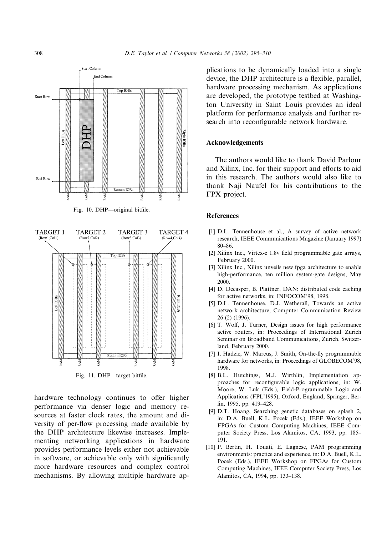

hardware technology continues to offer higher performance via denser logic and memory resources at faster clock rates, the amount and diversity of per-flow processing made available by the DHP architecture likewise increases. Implementing networking applications in hardware provides performance levels either not achievable in software, or achievable only with significantly more hardware resources and complex control mechanisms. By allowing multiple hardware applications to be dynamically loaded into a single device, the DHP architecture is a flexible, parallel, hardware processing mechanism. As applications are developed, the prototype testbed at Washington University in Saint Louis provides an ideal platform for performance analysis and further research into reconfigurable network hardware.

## Acknowledgements

The authors would like to thank David Parlour and Xilinx, Inc. for their support and efforts to aid in this research. The authors would also like to thank Naji Naufel for his contributions to the FPX project.

#### **References**

- [1] D.L. Tennenhouse et al., A survey of active network research, IEEE Communications Magazine (January 1997) 80–86.
- [2] Xilinx Inc., Virtex-e 1.8v field programmable gate arrays, February 2000.
- [3] Xilinx Inc., Xilinx unveils new fpga architecture to enable high-performance, ten million system-gate designs, May 2000.
- [4] D. Decasper, B. Plattner, DAN: distributed code caching for active networks, in: INFOCOM'98, 1998.
- [5] D.L. Tennenhouse, D.J. Wetherall, Towards an active network architecture, Computer Communication Review 26 (2) (1996).
- [6] T. Wolf, J. Turner, Design issues for high performance active routers, in: Proceedings of International Zurich Seminar on Broadband Communications, Zurich, Switzerland, February 2000.
- [7] I. Hadzic, W. Marcus, J. Smith, On-the-fly programmable hardware for networks, in: Proceedings of GLOBECOM'98, 1998.
- [8] B.L. Hutchings, M.J. Wirthlin, Implementation approaches for reconfigurable logic applications, in: W. Moore, W. Luk (Eds.), Field-Programmable Logic and Applications (FPL'1995), Oxford, England, Springer, Berlin, 1995, pp. 419–428.
- [9] D.T. Hoang, Searching genetic databases on splash 2, in: D.A. Buell, K.L. Pocek (Eds.), IEEE Workshop on FPGAs for Custom Computing Machines, IEEE Computer Society Press, Los Alamitos, CA, 1993, pp. 185– 191.
- [10] P. Bertin, H. Touati, E. Lagnese, PAM programming environments: practice and experience, in: D.A. Buell, K.L. Pocek (Eds.), IEEE Workshop on FPGAs for Custom Computing Machines, IEEE Computer Society Press, Los Alamitos, CA, 1994, pp. 133–138.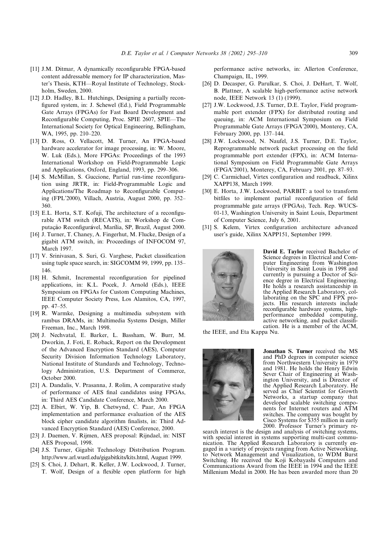- [11] J.M. Ditmar, A dynamically reconfigurable FPGA-based content addressable memory for IP characterization, Master's Thesis, KTH––Royal Institute of Technology, Stockholm, Sweden, 2000.
- [12] J.D. Hadley, B.L. Hutchings, Designing a partially reconfigured system, in: J. Schewel (Ed.), Field Programmable Gate Arrays (FPGAs) for Fast Board Development and Reconfigurable Computing, Proc. SPIE 2607, SPIE––The International Society for Optical Engineering, Bellingham, WA, 1995, pp. 210–220.
- [13] D. Ross, O. Vellacott, M. Turner, An FPGA-based hardware accelerator for image processing, in: W. Moore, W. Luk (Eds.), More FPGAs: Proceedings of the 1993 International Workshop on Field-Programmable Logic and Applications, Oxford, England, 1993, pp. 299–306.
- [14] S. McMillan, S. Guccione, Partial run-time reconfiguration using JRTR, in: Field-Programmable Logic and Applications/The Roadmap to Reconfigurable Computing (FPL'2000), Villach, Austria, August 2000, pp. 352– 360.
- [15] E.L. Horta, S.T. Kofuji, The architecture of a reconfigurable ATM switch (RECATS), in: Workshop de Computação Reconfigurável, Marília, SP, Brazil, August 2000.
- [16] J. Turner, T. Chaney, A. Fingerhut, M. Flucke, Design of a gigabit ATM switch, in: Proceedings of INFOCOM 97, March 1997.
- [17] V. Srinivasan, S. Suri, G. Varghese, Packet classification using tuple space search, in: SIGCOMM 99, 1999, pp. 135– 146.
- [18] H. Schmit, Incremental reconfiguration for pipelined applications, in: K.L. Pocek, J. Arnold (Eds.), IEEE Symposium on FPGAs for Custom Computing Machines, IEEE Computer Society Press, Los Alamitos, CA, 1997, pp. 47–55.
- [19] R. Warmke, Designing a multimedia subsystem with rambus DRAMs, in: Multimedia Systems Design, Miller Freeman, Inc., March 1998.
- [20] J. Nechvatal, E. Barker, L. Bassham, W. Burr, M. Dworkin, J. Foti, E. Roback, Report on the Development of the Advanced Encryption Standard (AES), Computer Security Division Information Technology Laboratory, National Institute of Standards and Technology, Technology Administration, U.S. Department of Commerce, October 2000.
- [21] A. Dandalis, V. Prasanna, J. Rolim, A comparative study of performance of AES final candidates using FPGAs, in: Third AES Candidate Conference, March 2000.
- [22] A. Elbirt, W. Yip, B. Chetwynd, C. Paar, An FPGA implementation and performance evaluation of the AES block cipher candidate algorithm finalists, in: Third Advanced Encryption Standard (AES) Conference, 2000.
- [23] J. Daemen, V. Rijmen, AES proposal: Rijndael, in: NIST AES Proposal, 1998.
- [24] J.S. Turner, Gigabit Technology Distribution Program. http://www.arl.wustl.edu/gigabitkits/kits.html, August 1999.
- [25] S. Choi, J. Dehart, R. Keller, J.W. Lockwood, J. Turner, T. Wolf, Design of a flexible open platform for high

performance active networks, in: Allerton Conference, Champaign, IL, 1999.

- [26] D. Decasper, G. Parulkar, S. Choi, J. DeHart, T. Wolf, B. Plattner, A scalable high-performance active network node, IEEE Network 13 (1) (1999).
- [27] J.W. Lockwood, J.S. Turner, D.E. Taylor, Field programmable port extender (FPX) for distributed routing and queuing, in: ACM International Symposium on Field Programmable Gate Arrays (FPGA'2000), Monterey, CA, February 2000, pp. 137–144.
- [28] J.W. Lockwood, N. Naufel, J.S. Turner, D.E. Taylor, Reprogrammable network packet processing on the field programmable port extender (FPX), in: ACM International Symposium on Field Programmable Gate Arrays (FPGA'2001), Monterey, CA, February 2001, pp. 87–93.
- [29] C. Carmichael, Virtex configuration and readback, Xilinx XAPP138, March 1999.
- [30] E. Horta, J.W. Lockwood, PARBIT: a tool to transform bitfiles to implement partial reconfiguration of field programmable gate arrays (FPGAs), Tech. Rep. WUCS-01-13, Washington University in Saint Louis, Department of Computer Science, July 6, 2001.
- [31] S. Kelem, Virtex configuration architecture advanced user's guide, Xilinx XAPP151, September 1999.



David E. Taylor received Bachelor of Science degrees in Electrical and Computer Engineering from Washington University in Saint Louis in 1998 and currently is pursuing a Doctor of Science degree in Electrical Engineering. He holds a research assistanceship in the Applied Research Laboratory, collaborating on the SPC and FPX projects. His research interests include reconfigurable hardware systems, highperformance embedded computing, active networking, and packet classification. He is a member of the ACM,

the IEEE, and Eta Kappa Nu.



Jonathan S. Turner received the MS and PhD degrees in computer science from Northwestern University in 1979 and 1981. He holds the Henry Edwin Sever Chair of Engineering at Washington University, and is Director of the Applied Research Laboratory. He served as Chief Scientist for Growth Networks, a startup company that developed scalable switching components for Internet routers and ATM switches. The company was bought by Cisco Systems for \$355 million in early 2000. Professor Turner's primary re-

search interest is the design and analysis of switching systems, with special interest in systems supporting multi-cast communication. The Applied Research Laboratory is currently engaged in a variety of projects ranging from Active Networking, to Network Management and Visualization, to WDM Burst Switching. He received the Koji Kobayashi Computers and Communications Award from the IEEE in 1994 and the IEEE Millenium Medal in 2000. He has been awarded more than 20